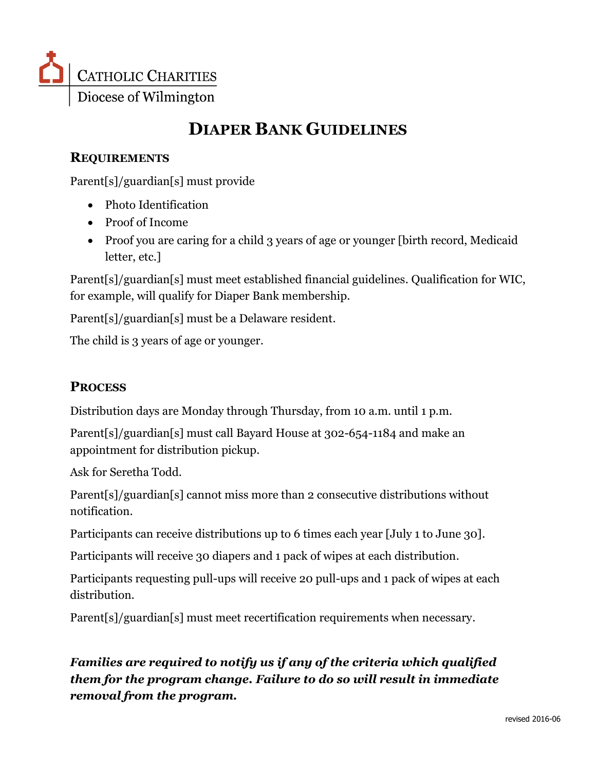

# **DIAPER BANK GUIDELINES**

## **REQUIREMENTS**

Parent[s]/guardian[s] must provide

- Photo Identification
- Proof of Income
- Proof you are caring for a child 3 years of age or younger [birth record, Medicaid] letter, etc.]

Parent[s]/guardian[s] must meet established financial guidelines. Qualification for WIC, for example, will qualify for Diaper Bank membership.

Parent [s]/guardian [s] must be a Delaware resident.

The child is 3 years of age or younger.

## **PROCESS**

Distribution days are Monday through Thursday, from 10 a.m. until 1 p.m.

Parent[s]/guardian[s] must call Bayard House at 302-654-1184 and make an appointment for distribution pickup.

Ask for Seretha Todd.

Parent[s]/guardian[s] cannot miss more than 2 consecutive distributions without notification.

Participants can receive distributions up to 6 times each year [July 1 to June 30].

Participants will receive 30 diapers and 1 pack of wipes at each distribution.

Participants requesting pull-ups will receive 20 pull-ups and 1 pack of wipes at each distribution.

Parent[s]/guardian[s] must meet recertification requirements when necessary.

## *Families are required to notify us if any of the criteria which qualified them for the program change. Failure to do so will result in immediate removal from the program.*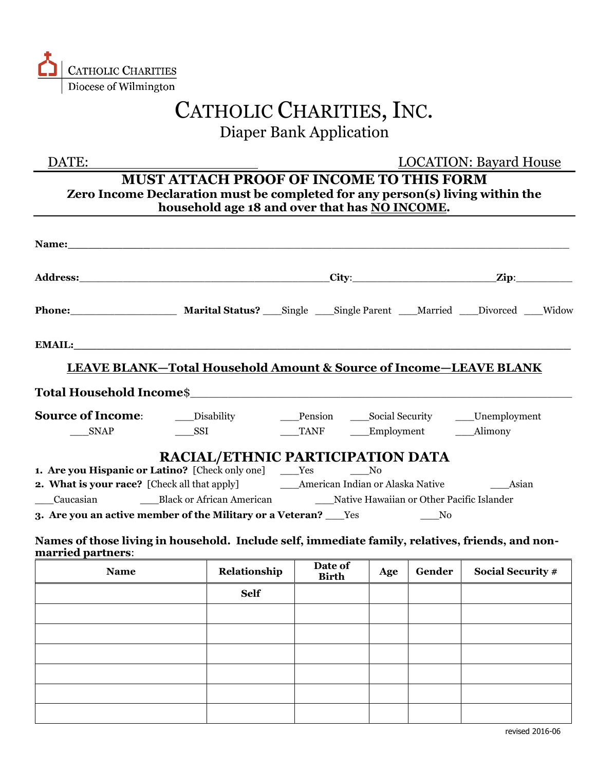# CATHOLIC CHARITIES, INC.

CATHOLIC CHARITIES Diocese of Wilmington

# Diaper Bank Application

## DATE: LOCATION: Bayard House **MUST ATTACH PROOF OF INCOME TO THIS FORM Zero Income Declaration must be completed for any person(s) living within the household age 18 and over that has NO INCOME.**

|             | Name:                                                                        |                                         |  |  |
|-------------|------------------------------------------------------------------------------|-----------------------------------------|--|--|
|             |                                                                              |                                         |  |  |
|             | Phone: Marital Status? Single Single Parent Married Divorced Widow           |                                         |  |  |
|             |                                                                              |                                         |  |  |
|             | <b>LEAVE BLANK-Total Household Amount &amp; Source of Income-LEAVE BLANK</b> |                                         |  |  |
|             |                                                                              |                                         |  |  |
|             |                                                                              |                                         |  |  |
| <b>SNAP</b> |                                                                              |                                         |  |  |
|             |                                                                              | <b>RACIAL/ETHNIC PARTICIPATION DATA</b> |  |  |
|             |                                                                              |                                         |  |  |
|             |                                                                              |                                         |  |  |
|             |                                                                              |                                         |  |  |
|             | 3. Are you an active member of the Military or a Veteran? Figures 18 The Mo  |                                         |  |  |

#### **Names of those living in household. Include self, immediate family, relatives, friends, and nonmarried partners**:

| <b>Name</b> | Relationship | Date of<br><b>Birth</b> | Age | Gender | <b>Social Security #</b> |
|-------------|--------------|-------------------------|-----|--------|--------------------------|
|             | <b>Self</b>  |                         |     |        |                          |
|             |              |                         |     |        |                          |
|             |              |                         |     |        |                          |
|             |              |                         |     |        |                          |
|             |              |                         |     |        |                          |
|             |              |                         |     |        |                          |
|             |              |                         |     |        |                          |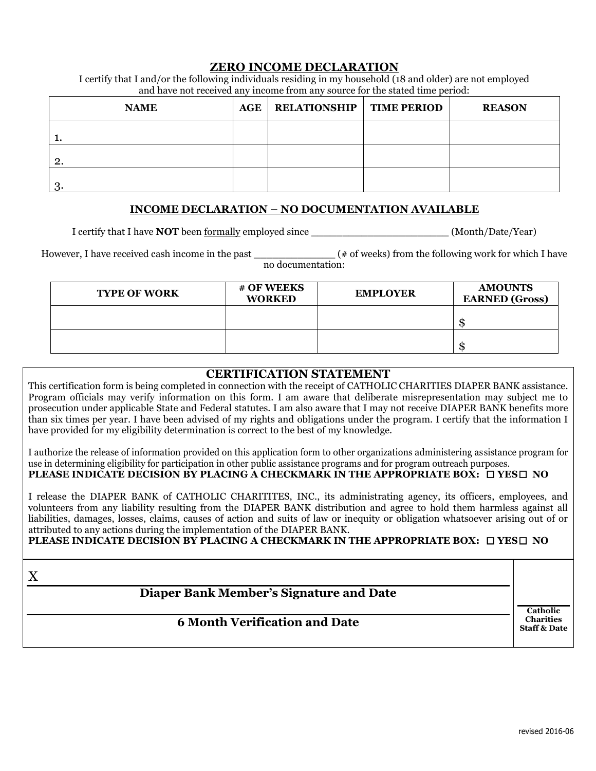#### **ZERO INCOME DECLARATION**

| <b>NAME</b> | AGE | <b>RELATIONSHIP   TIME PERIOD</b> | <b>REASON</b> |
|-------------|-----|-----------------------------------|---------------|
| -1.         |     |                                   |               |
| 2.          |     |                                   |               |
| ્વ          |     |                                   |               |

#### I certify that I and/or the following individuals residing in my household (18 and older) are not employed and have not received any income from any source for the stated time period:

#### **INCOME DECLARATION – NO DOCUMENTATION AVAILABLE**

I certify that I have **NOT** been formally employed since \_\_\_\_\_\_\_\_\_\_\_\_\_\_\_\_\_\_\_\_\_\_ (Month/Date/Year)

However, I have received cash income in the past \_\_\_\_\_\_\_\_\_\_\_\_\_ (# of weeks) from the following work for which I have no documentation:

| <b>TYPE OF WORK</b> | # OF WEEKS<br><b>WORKED</b> | <b>EMPLOYER</b> | <b>AMOUNTS</b><br><b>EARNED</b> (Gross) |
|---------------------|-----------------------------|-----------------|-----------------------------------------|
|                     |                             |                 | $\cdot$ F                               |
|                     |                             |                 | чE                                      |

#### **CERTIFICATION STATEMENT**

This certification form is being completed in connection with the receipt of CATHOLIC CHARITIES DIAPER BANK assistance. Program officials may verify information on this form. I am aware that deliberate misrepresentation may subject me to prosecution under applicable State and Federal statutes. I am also aware that I may not receive DIAPER BANK benefits more than six times per year. I have been advised of my rights and obligations under the program. I certify that the information I have provided for my eligibility determination is correct to the best of my knowledge.

I authorize the release of information provided on this application form to other organizations administering assistance program for use in determining eligibility for participation in other public assistance programs and for program outreach purposes. **PLEASE INDICATE DECISION BY PLACING A CHECKMARK IN THE APPROPRIATE BOX: YES NO**

I release the DIAPER BANK of CATHOLIC CHARITITES, INC., its administrating agency, its officers, employees, and volunteers from any liability resulting from the DIAPER BANK distribution and agree to hold them harmless against all liabilities, damages, losses, claims, causes of action and suits of law or inequity or obligation whatsoever arising out of or attributed to any actions during the implementation of the DIAPER BANK.

#### **PLEASE INDICATE DECISION BY PLACING A CHECKMARK IN THE APPROPRIATE BOX:**  $\Box$  **YES** $\Box$  **NO**

X

### **Diaper Bank Member's Signature and Date 6 Month Verification and Date Catholic Charities Staff & Date**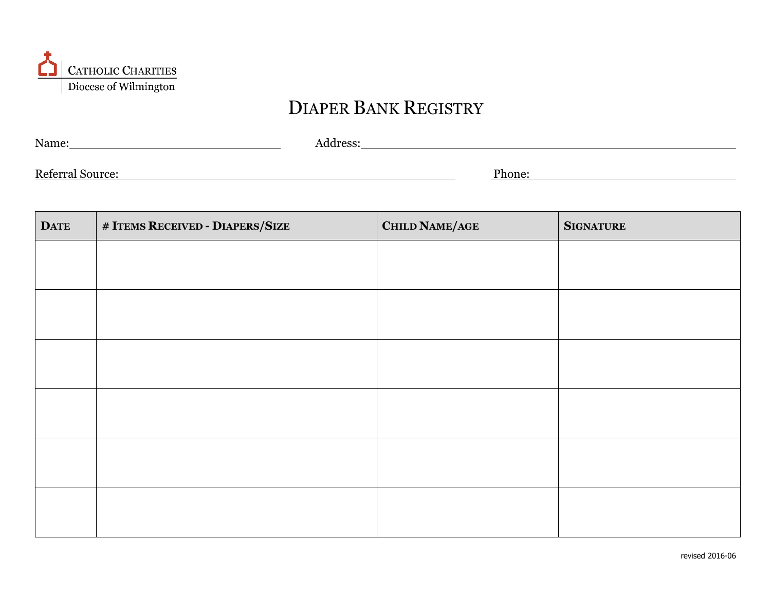

# DIAPER BANK REGISTRY

| Name:               | ddress: |        |  |
|---------------------|---------|--------|--|
| Referral<br>Source: |         | Phone: |  |

| <b>DATE</b> | # ITEMS RECEIVED - DIAPERS/SIZE | <b>CHILD NAME/AGE</b> | <b>SIGNATURE</b> |
|-------------|---------------------------------|-----------------------|------------------|
|             |                                 |                       |                  |
|             |                                 |                       |                  |
|             |                                 |                       |                  |
|             |                                 |                       |                  |
|             |                                 |                       |                  |
|             |                                 |                       |                  |
|             |                                 |                       |                  |
|             |                                 |                       |                  |
|             |                                 |                       |                  |
|             |                                 |                       |                  |
|             |                                 |                       |                  |
|             |                                 |                       |                  |